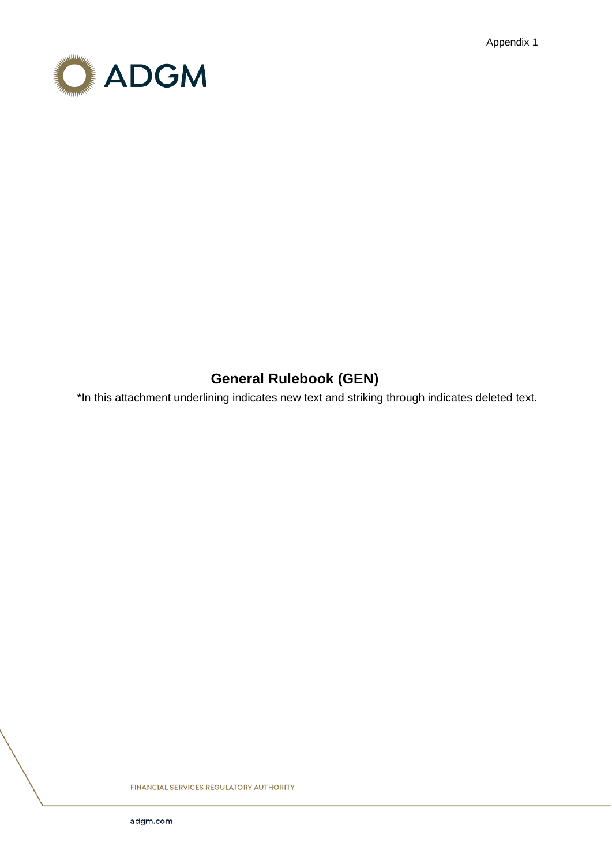Appendix 1



# **General Rulebook (GEN)**

\*In this attachment underlining indicates new text and striking through indicates deleted text.

**FINANCIAL SERVICES REGULATORY AUTHORITY**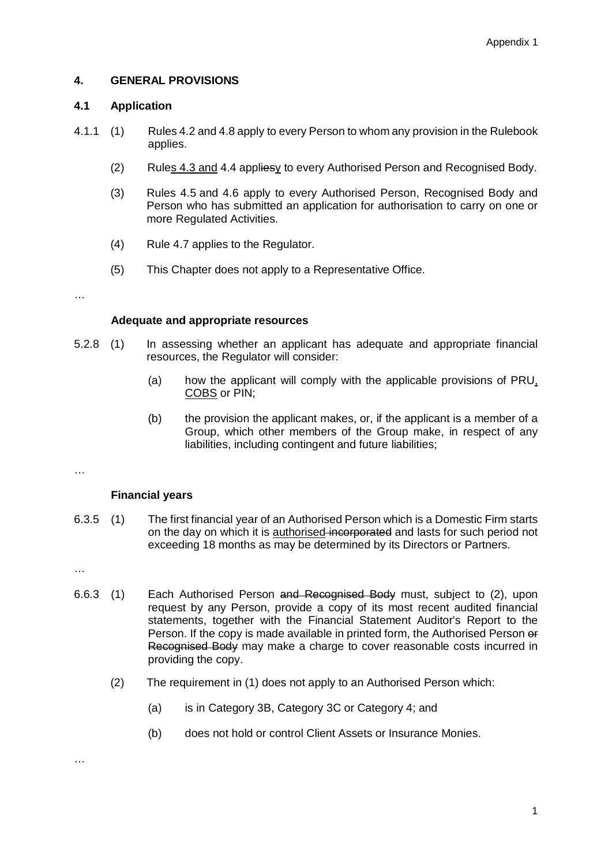## **4. GENERAL PROVISIONS**

### **4.1 Application**

- 4.1.1 (1) Rules 4.2 and 4.8 apply to every Person to whom any provision in the Rulebook applies.
	- (2) Rules 4.3 and 4.4 appliesy to every Authorised Person and Recognised Body.
	- (3) Rules 4.5 and 4.6 apply to every Authorised Person, Recognised Body and Person who has submitted an application for authorisation to carry on one or more Regulated Activities.
	- (4) Rule 4.7 applies to the Regulator.
	- (5) This Chapter does not apply to a Representative Office.

…

#### **Adequate and appropriate resources**

- 5.2.8 (1) In assessing whether an applicant has adequate and appropriate financial resources, the Regulator will consider:
	- (a) how the applicant will comply with the applicable provisions of PRU, COBS or PIN;
	- (b) the provision the applicant makes, or, if the applicant is a member of a Group, which other members of the Group make, in respect of any liabilities, including contingent and future liabilities;
- …

### **Financial years**

6.3.5 (1) The first financial year of an Authorised Person which is a Domestic Firm starts on the day on which it is authorised-incorporated and lasts for such period not exceeding 18 months as may be determined by its Directors or Partners.

…

- 6.6.3 (1) Each Authorised Person and Recognised Body must, subject to (2), upon request by any Person, provide a copy of its most recent audited financial statements, together with the Financial Statement Auditor's Report to the Person. If the copy is made available in printed form, the Authorised Person or Recognised Body may make a charge to cover reasonable costs incurred in providing the copy.
	- (2) The requirement in (1) does not apply to an Authorised Person which:
		- (a) is in Category 3B, Category 3C or Category 4; and
		- (b) does not hold or control Client Assets or Insurance Monies.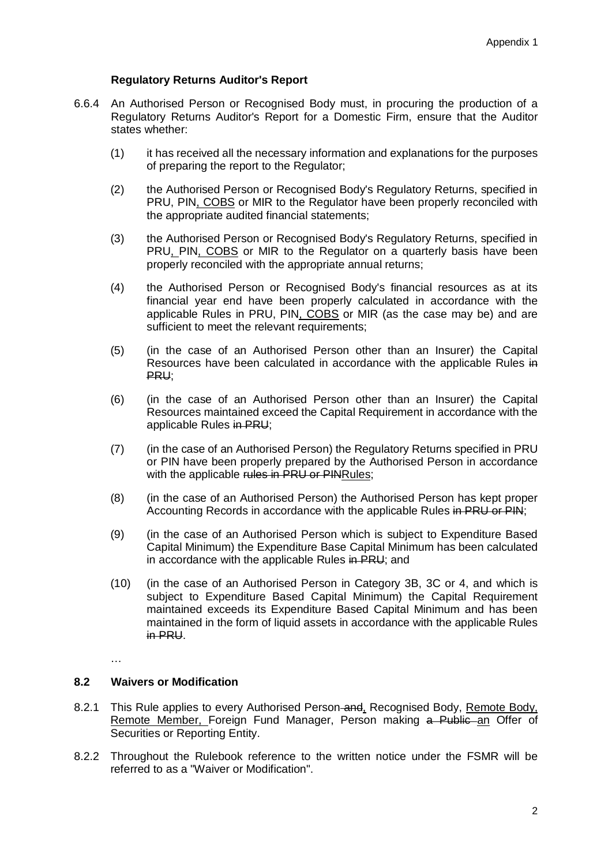## **Regulatory Returns Auditor's Report**

- 6.6.4 An Authorised Person or Recognised Body must, in procuring the production of a Regulatory Returns Auditor's Report for a Domestic Firm, ensure that the Auditor states whether:
	- (1) it has received all the necessary information and explanations for the purposes of preparing the report to the Regulator;
	- (2) the Authorised Person or Recognised Body's Regulatory Returns, specified in PRU, PIN, COBS or MIR to the Regulator have been properly reconciled with the appropriate audited financial statements;
	- (3) the Authorised Person or Recognised Body's Regulatory Returns, specified in PRU, PIN, COBS or MIR to the Regulator on a quarterly basis have been properly reconciled with the appropriate annual returns;
	- (4) the Authorised Person or Recognised Body's financial resources as at its financial year end have been properly calculated in accordance with the applicable Rules in PRU, PIN, COBS or MIR (as the case may be) and are sufficient to meet the relevant requirements;
	- (5) (in the case of an Authorised Person other than an Insurer) the Capital Resources have been calculated in accordance with the applicable Rules in PRU;
	- (6) (in the case of an Authorised Person other than an Insurer) the Capital Resources maintained exceed the Capital Requirement in accordance with the applicable Rules in PRU;
	- (7) (in the case of an Authorised Person) the Regulatory Returns specified in PRU or PIN have been properly prepared by the Authorised Person in accordance with the applicable rules in PRU or PINRules;
	- (8) (in the case of an Authorised Person) the Authorised Person has kept proper Accounting Records in accordance with the applicable Rules in PRU or PIN;
	- (9) (in the case of an Authorised Person which is subject to Expenditure Based Capital Minimum) the Expenditure Base Capital Minimum has been calculated in accordance with the applicable Rules in PRU; and
	- (10) (in the case of an Authorised Person in Category 3B, 3C or 4, and which is subject to Expenditure Based Capital Minimum) the Capital Requirement maintained exceeds its Expenditure Based Capital Minimum and has been maintained in the form of liquid assets in accordance with the applicable Rules in PRU.

…

## **8.2 Waivers or Modification**

- 8.2.1 This Rule applies to every Authorised Person-and, Recognised Body, Remote Body, Remote Member, Foreign Fund Manager, Person making a Public an Offer of Securities or Reporting Entity.
- 8.2.2 Throughout the Rulebook reference to the written notice under the FSMR will be referred to as a "Waiver or Modification".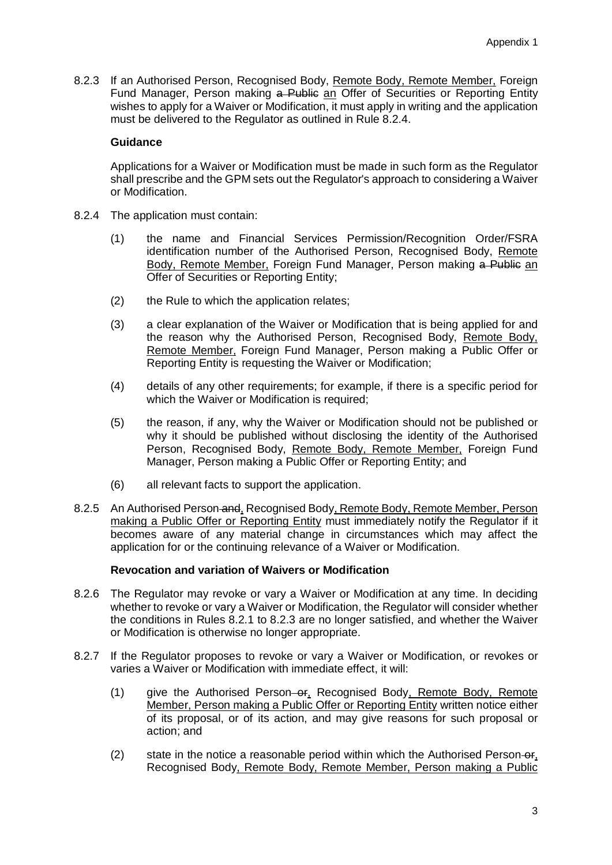8.2.3 If an Authorised Person, Recognised Body, Remote Body, Remote Member, Foreign Fund Manager, Person making a Public an Offer of Securities or Reporting Entity wishes to apply for a Waiver or Modification, it must apply in writing and the application must be delivered to the Regulator as outlined in Rule 8.2.4.

#### **Guidance**

Applications for a Waiver or Modification must be made in such form as the Regulator shall prescribe and the GPM sets out the Regulator's approach to considering a Waiver or Modification.

- 8.2.4 The application must contain:
	- (1) the name and Financial Services Permission/Recognition Order/FSRA identification number of the Authorised Person, Recognised Body, Remote Body, Remote Member, Foreign Fund Manager, Person making a Public an Offer of Securities or Reporting Entity;
	- (2) the Rule to which the application relates;
	- (3) a clear explanation of the Waiver or Modification that is being applied for and the reason why the Authorised Person, Recognised Body, Remote Body, Remote Member, Foreign Fund Manager, Person making a Public Offer or Reporting Entity is requesting the Waiver or Modification;
	- (4) details of any other requirements; for example, if there is a specific period for which the Waiver or Modification is required;
	- (5) the reason, if any, why the Waiver or Modification should not be published or why it should be published without disclosing the identity of the Authorised Person, Recognised Body, Remote Body, Remote Member, Foreign Fund Manager, Person making a Public Offer or Reporting Entity; and
	- (6) all relevant facts to support the application.
- 8.2.5 An Authorised Person and, Recognised Body, Remote Body, Remote Member, Person making a Public Offer or Reporting Entity must immediately notify the Regulator if it becomes aware of any material change in circumstances which may affect the application for or the continuing relevance of a Waiver or Modification.

#### **Revocation and variation of Waivers or Modification**

- 8.2.6 The Regulator may revoke or vary a Waiver or Modification at any time. In deciding whether to revoke or vary a Waiver or Modification, the Regulator will consider whether the conditions in Rules 8.2.1 to 8.2.3 are no longer satisfied, and whether the Waiver or Modification is otherwise no longer appropriate.
- 8.2.7 If the Regulator proposes to revoke or vary a Waiver or Modification, or revokes or varies a Waiver or Modification with immediate effect, it will:
	- (1) give the Authorised Person–or, Recognised Body, Remote Body, Remote Member, Person making a Public Offer or Reporting Entity written notice either of its proposal, or of its action, and may give reasons for such proposal or action; and
	- $(2)$  state in the notice a reasonable period within which the Authorised Person- $\theta$ , Recognised Body, Remote Body, Remote Member, Person making a Public